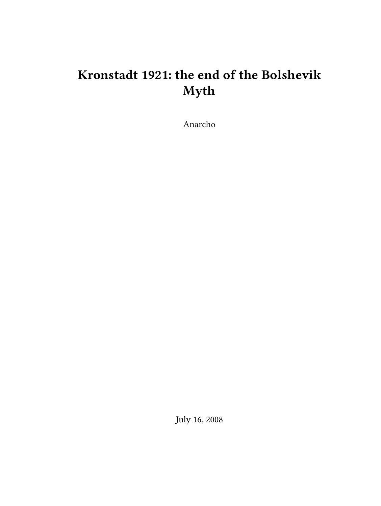# **Kronstadt 1921: the end of the Bolshevik Myth**

Anarcho

July 16, 2008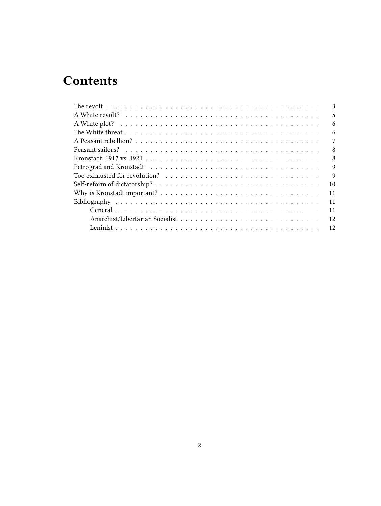## **Contents**

| 3  |
|----|
| 5  |
| 6  |
| 6  |
| 7  |
| 8  |
| 8  |
| 9  |
| 9  |
| 10 |
| 11 |
| 11 |
| 11 |
| 12 |
| 12 |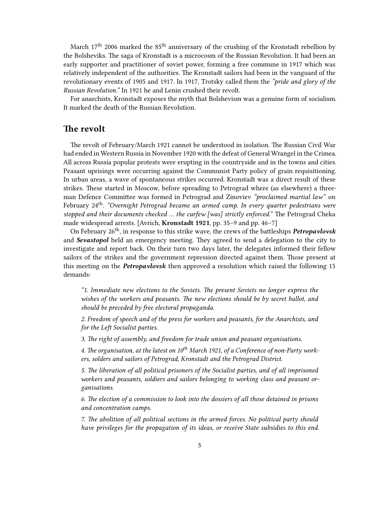March  $17<sup>th</sup>$  2006 marked the 85<sup>th</sup> anniversary of the crushing of the Kronstadt rebellion by the Bolsheviks. The saga of Kronstadt is a microcosm of the Russian Revolution. It had been an early supporter and practitioner of soviet power, forming a free commune in 1917 which was relatively independent of the authorities. The Kronstadt sailors had been in the vanguard of the revolutionary events of 1905 and 1917. In 1917, Trotsky called them the *"pride and glory of the Russian Revolution."* In 1921 he and Lenin crushed their revolt.

For anarchists, Kronstadt exposes the myth that Bolshevism was a genuine form of socialism. It marked the death of the Russian Revolution.

#### <span id="page-2-0"></span>**The revolt**

The revolt of February/March 1921 cannot be understood in isolation. The Russian Civil War had ended in Western Russia in November 1920 with the defeat of General Wrangel in the Crimea. All across Russia popular protests were erupting in the countryside and in the towns and cities. Peasant uprisings were occurring against the Communist Party policy of grain requisitioning. In urban areas, a wave of spontaneous strikes occurred. Kronstadt was a direct result of these strikes. These started in Moscow, before spreading to Petrograd where (as elsewhere) a threeman Defence Committee was formed in Petrograd and Zinoviev *"proclaimed martial law"* on February 24th . *"Overnight Petrograd became an armed camp. In every quarter pedestrians were stopped and their documents checked … the curfew [was] strictly enforced."* The Petrograd Cheka made widespread arrests. [Avrich, **Kronstadt 1921**, pp. 35–9 and pp. 46–7]

On February 26th, in response to this strike wave, the crews of the battleships *Petropavlovsk* and *Sevastopol* held an emergency meeting. They agreed to send a delegation to the city to investigate and report back. On their turn two days later, the delegates informed their fellow sailors of the strikes and the government repression directed against them. Those present at this meeting on the *Petropavlovsk* then approved a resolution which raised the following 15 demands:

*"1. Immediate new elections to the Soviets. The present Soviets no longer express the wishes of the workers and peasants. The new elections should be by secret ballot, and should be preceded by free electoral propaganda.*

*2. Freedom of speech and of the press for workers and peasants, for the Anarchists, and for the Left Socialist parties.*

*3. The right of assembly, and freedom for trade union and peasant organisations.*

*4. The organisation, at the latest on 10th March 1921, of a Conference of non-Party workers, solders and sailors of Petrograd, Kronstadt and the Petrograd District.*

*5. The liberation of all political prisoners of the Socialist parties, and of all imprisoned workers and peasants, soldiers and sailors belonging to working class and peasant organisations.*

*6. The election of a commission to look into the dossiers of all those detained in prisons and concentration camps.*

*7. The abolition of all political sections in the armed forces. No political party should have privileges for the propagation of its ideas, or receive State subsidies to this end.*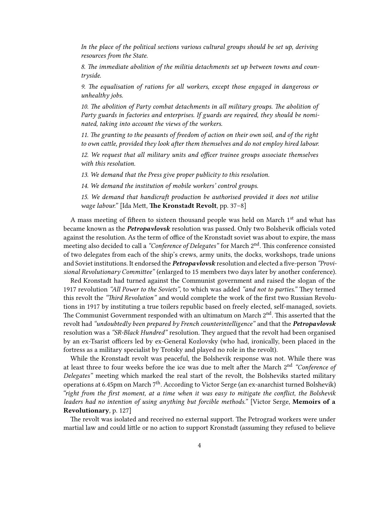*In the place of the political sections various cultural groups should be set up, deriving resources from the State.*

*8. The immediate abolition of the militia detachments set up between towns and countryside.*

*9. The equalisation of rations for all workers, except those engaged in dangerous or unhealthy jobs.*

*10. The abolition of Party combat detachments in all military groups. The abolition of Party guards in factories and enterprises. If guards are required, they should be nominated, taking into account the views of the workers.*

*11. The granting to the peasants of freedom of action on their own soil, and of the right to own cattle, provided they look after them themselves and do not employ hired labour.*

*12. We request that all military units and officer trainee groups associate themselves with this resolution.*

*13. We demand that the Press give proper publicity to this resolution.*

*14. We demand the institution of mobile workers' control groups.*

*15. We demand that handicraft production be authorised provided it does not utilise wage labour."* [Ida Mett, **The Kronstadt Revolt**, pp. 37–8]

A mass meeting of fifteen to sixteen thousand people was held on March 1<sup>st</sup> and what has became known as the *Petropavlovsk* resolution was passed. Only two Bolshevik officials voted against the resolution. As the term of office of the Kronstadt soviet was about to expire, the mass meeting also decided to call a *"Conference of Delegates"* for March 2nd. This conference consisted of two delegates from each of the ship's crews, army units, the docks, workshops, trade unions and Soviet institutions. It endorsed the *Petropavlovsk* resolution and elected a five-person *"Provisional Revolutionary Committee"* (enlarged to 15 members two days later by another conference).

Red Kronstadt had turned against the Communist government and raised the slogan of the 1917 revolution *"All Power to the Soviets"*, to which was added *"and not to parties."* They termed this revolt the *"Third Revolution"* and would complete the work of the first two Russian Revolutions in 1917 by instituting a true toilers republic based on freely elected, self-managed, soviets. The Communist Government responded with an ultimatum on March 2<sup>nd</sup>. This asserted that the revolt had *"undoubtedly been prepared by French counterintelligence"* and that the *Petropavlovsk* resolution was a *"SR-Black Hundred"* resolution. They argued that the revolt had been organised by an ex-Tsarist officers led by ex-General Kozlovsky (who had, ironically, been placed in the fortress as a military specialist by Trotsky and played no role in the revolt).

While the Kronstadt revolt was peaceful, the Bolshevik response was not. While there was at least three to four weeks before the ice was due to melt after the March 2nd *"Conference of Delegates"* meeting which marked the real start of the revolt, the Bolsheviks started military operations at 6.45pm on March 7<sup>th</sup>. According to Victor Serge (an ex-anarchist turned Bolshevik) *"right from the first moment, at a time when it was easy to mitigate the conflict, the Bolshevik leaders had no intention of using anything but forcible methods."* [Victor Serge, **Memoirs of a Revolutionary**, p. 127]

The revolt was isolated and received no external support. The Petrograd workers were under martial law and could little or no action to support Kronstadt (assuming they refused to believe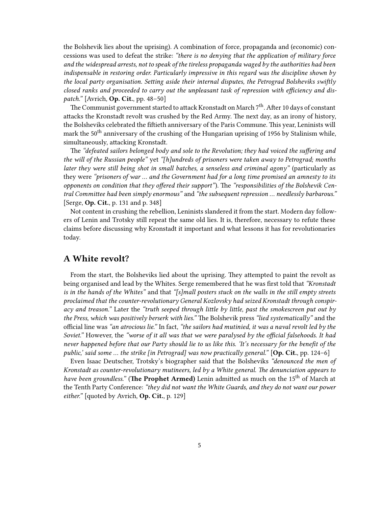the Bolshevik lies about the uprising). A combination of force, propaganda and (economic) concessions was used to defeat the strike: *"there is no denying that the application of military force and the widespread arrests, not to speak of the tireless propaganda waged by the authorities had been indispensable in restoring order. Particularly impressive in this regard was the discipline shown by the local party organisation. Setting aside their internal disputes, the Petrograd Bolsheviks swiftly closed ranks and proceeded to carry out the unpleasant task of repression with efficiency and dispatch."* [Avrich, **Op. Cit.**, pp. 48–50]

The Communist government started to attack Kronstadt on March 7<sup>th</sup>. After 10 days of constant attacks the Kronstadt revolt was crushed by the Red Army. The next day, as an irony of history, the Bolsheviks celebrated the fiftieth anniversary of the Paris Commune. This year, Leninists will mark the  $50<sup>th</sup>$  anniversary of the crushing of the Hungarian uprising of 1956 by Stalinism while, simultaneously, attacking Kronstadt.

The *"defeated sailors belonged body and sole to the Revolution; they had voiced the suffering and the will of the Russian people"* yet *"[h]undreds of prisoners were taken away to Petrograd; months later they were still being shot in small batches, a senseless and criminal agony"* (particularly as they were *"prisoners of war … and the Government had for a long time promised an amnesty to its opponents on condition that they offered their support"*). The *"responsibilities of the Bolshevik Central Committee had been simply enormous"* and *"the subsequent repression … needlessly barbarous."* [Serge, **Op. Cit.**, p. 131 and p. 348]

Not content in crushing the rebellion, Leninists slandered it from the start. Modern day followers of Lenin and Trotsky still repeat the same old lies. It is, therefore, necessary to refute these claims before discussing why Kronstadt it important and what lessons it has for revolutionaries today.

## <span id="page-4-0"></span>**A White revolt?**

From the start, the Bolsheviks lied about the uprising. They attempted to paint the revolt as being organised and lead by the Whites. Serge remembered that he was first told that *"Kronstadt is in the hands of the Whites"* and that *"[s]mall posters stuck on the walls in the still empty streets proclaimed that the counter-revolutionary General Kozlovsky had seized Kronstadt through conspiracy and treason."* Later the *"truth seeped through little by little, past the smokescreen put out by the Press, which was positively berserk with lies."* The Bolshevik press *"lied systematically"* and the official line was *"an atrocious lie."* In fact, *"the sailors had mutinied, it was a naval revolt led by the Soviet."* However, the *"worse of it all was that we were paralysed by the official falsehoods. It had never happened before that our Party should lie to us like this. 'It's necessary for the benefit of the public,' said some … the strike [in Petrograd] was now practically general."* [**Op. Cit.**, pp. 124–6]

Even Isaac Deutscher, Trotsky's biographer said that the Bolsheviks *"denounced the men of Kronstadt as counter-revolutionary mutineers, led by a White general. The denunciation appears to have been groundless.*" (The Prophet Armed) Lenin admitted as much on the 15<sup>th</sup> of March at the Tenth Party Conference: *"they did not want the White Guards, and they do not want our power either."* [quoted by Avrich, **Op. Cit.**, p. 129]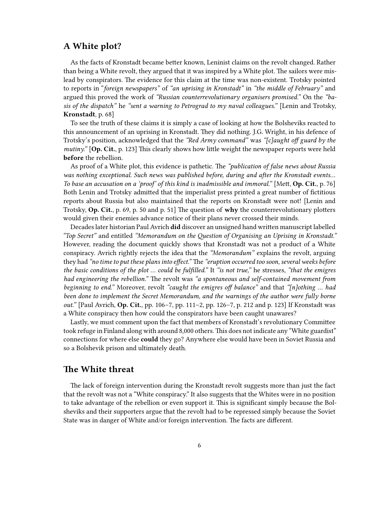## <span id="page-5-0"></span>**A White plot?**

As the facts of Kronstadt became better known, Leninist claims on the revolt changed. Rather than being a White revolt, they argued that it was inspired by a White plot. The sailors were mislead by conspirators. The evidence for this claim at the time was non-existent. Trotsky pointed to reports in "*foreign newspapers"* of *"an uprising in Kronstadt"* in *"the middle of February"* and argued this proved the work of *"Russian counterrevolutionary organisers promised."* On the *"basis of the dispatch"* he *"sent a warning to Petrograd to my naval colleagues."* [Lenin and Trotsky, **Kronstadt**, p. 68]

To see the truth of these claims it is simply a case of looking at how the Bolsheviks reacted to this announcement of an uprising in Kronstadt. They did nothing. J.G. Wright, in his defence of Trotsky's position, acknowledged that the *"Red Army command"* was *"[c]aught off guard by the mutiny."* [**Op. Cit.**, p. 123] This clearly shows how little weight the newspaper reports were held **before** the rebellion.

As proof of a White plot, this evidence is pathetic. The *"publication of false news about Russia was nothing exceptional. Such news was published before, during and after the Kronstadt events… To base an accusation on a 'proof' of this kind is inadmissible and immoral."* [Mett, **Op. Cit.**, p. 76] Both Lenin and Trotsky admitted that the imperialist press printed a great number of fictitious reports about Russia but also maintained that the reports on Kronstadt were not! [Lenin and Trotsky, **Op. Cit.**, p. 69, p. 50 and p. 51] The question of **why** the counterrevolutionary plotters would given their enemies advance notice of their plans never crossed their minds.

Decades later historian Paul Avrich **did** discover an unsigned hand written manuscript labelled *"Top Secret"* and entitled *"Memorandum on the Question of Organising an Uprising in Kronstadt."* However, reading the document quickly shows that Kronstadt was not a product of a White conspiracy. Avrich rightly rejects the idea that the *"Memorandum"* explains the revolt, arguing they had *"no time to put these plans into effect."* The *"eruption occurred too soon, several weeks before the basic conditions of the plot … could be fulfilled."* It *"is not true,"* he stresses, *"that the emigres had engineering the rebellion."* The revolt was *"a spontaneous and self-contained movement from beginning to end."* Moreover, revolt *"caught the emigres off balance"* and that *"[n]othing … had been done to implement the Secret Memorandum, and the warnings of the author were fully borne out."* [Paul Avrich, **Op. Cit.**, pp. 106–7, pp. 111–2, pp. 126–7, p. 212 and p. 123] If Kronstadt was a White conspiracy then how could the conspirators have been caught unawares?

Lastly, we must comment upon the fact that members of Kronstadt's revolutionary Committee took refuge in Finland along with around 8,000 others.This does not indicate any "White guardist" connections for where else **could** they go? Anywhere else would have been in Soviet Russia and so a Bolshevik prison and ultimately death.

## <span id="page-5-1"></span>**The White threat**

The lack of foreign intervention during the Kronstadt revolt suggests more than just the fact that the revolt was not a "White conspiracy." It also suggests that the Whites were in no position to take advantage of the rebellion or even support it. This is significant simply because the Bolsheviks and their supporters argue that the revolt had to be repressed simply because the Soviet State was in danger of White and/or foreign intervention. The facts are different.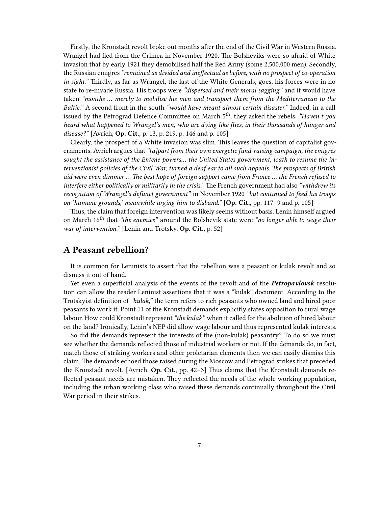Firstly, the Kronstadt revolt broke out months after the end of the Civil War in Western Russia. Wrangel had fled from the Crimea in November 1920. The Bolsheviks were so afraid of White invasion that by early 1921 they demobilised half the Red Army (some 2,500,000 men). Secondly, the Russian emigres *"remained as divided and ineffectual as before, with no prospect of co-operation in sight.*" Thirdly, as far as Wrangel, the last of the White Generals, goes, his forces were in no state to re-invade Russia. His troops were *"dispersed and their moral sagging"* and it would have taken *"months … merely to mobilise his men and transport them from the Mediterranean to the Baltic."* A second front in the south *"would have meant almost certain disaster."* Indeed, in a call issued by the Petrograd Defence Committee on March 5th, they asked the rebels: *"Haven't you heard what happened to Wrangel's men, who are dying like flies, in their thousands of hunger and disease?"* [Avrich, **Op. Cit.**, p. 13, p. 219, p. 146 and p. 105]

Clearly, the prospect of a White invasion was slim. This leaves the question of capitalist governments. Avrich argues that *"[a]part from their own energetic fund-raising campaign, the emigres sought the assistance of the Entene powers… the United States government, loath to resume the interventionist policies of the Civil War, turned a deaf ear to all such appeals. The prospects of British aid were even dimmer … The best hope of foreign support came from France … the French refused to interfere either politically or militarily in the crisis."* The French government had also *"withdrew its recognition of Wrangel's defunct government"* in November 1920 *"but continued to feed his troops on 'humane grounds,' meanwhile urging him to disband."* [**Op. Cit.**, pp. 117–9 and p. 105]

Thus, the claim that foreign intervention was likely seems without basis. Lenin himself argued on March 16th that *"the enemies"* around the Bolshevik state were *"no longer able to wage their war of intervention."* [Lenin and Trotsky, **Op. Cit.**, p. 52]

## <span id="page-6-0"></span>**A Peasant rebellion?**

It is common for Leninists to assert that the rebellion was a peasant or kulak revolt and so dismiss it out of hand.

Yet even a superficial analysis of the events of the revolt and of the *Petropavlovsk* resolution can allow the reader Leninist assertions that it was a "kulak" document. According to the Trotskyist definition of *"kulak,"* the term refers to rich peasants who owned land and hired poor peasants to work it. Point 11 of the Kronstadt demands explicitly states opposition to rural wage labour. How could Kronstadt represent *"the kulak"* when it called for the abolition of hired labour on the land? Ironically, Lenin's NEP did allow wage labour and thus represented kulak interests.

So did the demands represent the interests of the (non-kulak) peasantry? To do so we must see whether the demands reflected those of industrial workers or not. If the demands do, in fact, match those of striking workers and other proletarian elements then we can easily dismiss this claim. The demands echoed those raised during the Moscow and Petrograd strikes that preceded the Kronstadt revolt. [Avrich, **Op. Cit.**, pp. 42–3] Thus claims that the Kronstadt demands reflected peasant needs are mistaken. They reflected the needs of the whole working population, including the urban working class who raised these demands continually throughout the Civil War period in their strikes.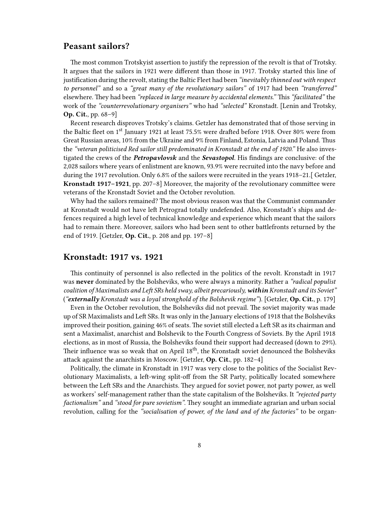## <span id="page-7-0"></span>**Peasant sailors?**

The most common Trotskyist assertion to justify the repression of the revolt is that of Trotsky. It argues that the sailors in 1921 were different than those in 1917. Trotsky started this line of justification during the revolt, stating the Baltic Fleet had been *"inevitably thinned out with respect to personnel"* and so a *"great many of the revolutionary sailors"* of 1917 had been *"transferred"* elsewhere. They had been *"replaced in large measure by accidental elements."* This *"facilitated"* the work of the *"counterrevolutionary organisers"* who had *"selected"* Kronstadt. [Lenin and Trotsky, **Op. Cit.**, pp. 68–9]

Recent research disproves Trotsky's claims. Getzler has demonstrated that of those serving in the Baltic fleet on 1<sup>st</sup> January 1921 at least 75.5% were drafted before 1918. Over 80% were from Great Russian areas, 10% from the Ukraine and 9% from Finland, Estonia, Latvia and Poland. Thus the *"veteran politicised Red sailor still predominated in Kronstadt at the end of 1920."* He also investigated the crews of the *Petropavlovsk* and the *Sevastopol*. His findings are conclusive: of the 2,028 sailors where years of enlistment are known, 93.9% were recruited into the navy before and during the 1917 revolution. Only 6.8% of the sailors were recruited in the years 1918–21.[ Getzler, **Kronstadt 1917–1921**, pp. 207–8] Moreover, the majority of the revolutionary committee were veterans of the Kronstadt Soviet and the October revolution.

Why had the sailors remained? The most obvious reason was that the Communist commander at Kronstadt would not have left Petrograd totally undefended. Also, Kronstadt's ships and defences required a high level of technical knowledge and experience which meant that the sailors had to remain there. Moreover, sailors who had been sent to other battlefronts returned by the end of 1919. [Getzler, **Op. Cit.**, p. 208 and pp. 197–8]

## <span id="page-7-1"></span>**Kronstadt: 1917 vs. 1921**

This continuity of personnel is also reflected in the politics of the revolt. Kronstadt in 1917 was **never** dominated by the Bolsheviks, who were always a minority. Rather a *"radical populist coalition of Maximalists and Left SRs held sway, albeit precariously, within Kronstadt and its Soviet"* (*"externally Kronstadt was a loyal stronghold of the Bolshevik regime"*). [Getzler, **Op. Cit.**, p. 179]

Even in the October revolution, the Bolsheviks did not prevail. The soviet majority was made up of SR Maximalists and Left SRs. It was only in the January elections of 1918 that the Bolsheviks improved their position, gaining 46% of seats. The soviet still elected a Left SR as its chairman and sent a Maximalist, anarchist and Bolshevik to the Fourth Congress of Soviets. By the April 1918 elections, as in most of Russia, the Bolsheviks found their support had decreased (down to 29%). Their influence was so weak that on April 18<sup>th</sup>, the Kronstadt soviet denounced the Bolsheviks attack against the anarchists in Moscow. [Getzler, **Op. Cit.**, pp. 182–4]

Politically, the climate in Kronstadt in 1917 was very close to the politics of the Socialist Revolutionary Maximalists, a left-wing split-off from the SR Party, politically located somewhere between the Left SRs and the Anarchists. They argued for soviet power, not party power, as well as workers' self-management rather than the state capitalism of the Bolsheviks. It *"rejected party factionalism"* and *"stood for pure sovietism"*. They sought an immediate agrarian and urban social revolution, calling for the *"socialisation of power, of the land and of the factories"* to be organ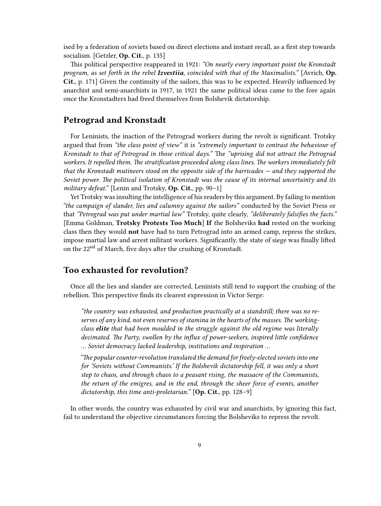ised by a federation of soviets based on direct elections and instant recall, as a first step towards socialism. [Getzler, **Op. Cit.**, p. 135]

This political perspective reappeared in 1921: *"On nearly every important point the Kronstadt program, as set forth in the rebel Izvestiia, coincided with that of the Maximalists."* [Avrich, **Op. Cit.**, p. 171] Given the continuity of the sailors, this was to be expected. Heavily influenced by anarchist and semi-anarchists in 1917, in 1921 the same political ideas came to the fore again once the Kronstadters had freed themselves from Bolshevik dictatorship.

## <span id="page-8-0"></span>**Petrograd and Kronstadt**

For Leninists, the inaction of the Petrograd workers during the revolt is significant. Trotsky argued that from *"the class point of view"* it is *"extremely important to contrast the behaviour of Kronstadt to that of Petrograd in those critical days."* The *"uprising did not attract the Petrograd workers. It repelled them. The stratification proceeded along class lines. The workers immediately felt that the Kronstadt mutineers stood on the opposite side of the barricades — and they supported the Soviet power. The political isolation of Kronstadt was the cause of its internal uncertainty and its military defeat."* [Lenin and Trotsky, **Op. Cit.**, pp. 90–1]

Yet Trotsky was insulting the intelligence of his readers by this argument. By failing to mention *"the campaign of slander, lies and calumny against the sailors"* conducted by the Soviet Press or that *"Petrograd was put under martial law"* Trotsky, quite clearly, *"deliberately falsifies the facts."* [Emma Goldman, **Trotsky Protests Too Much**] **If** the Bolsheviks **had** rested on the working class then they would **not** have had to turn Petrograd into an armed camp, repress the strikes, impose martial law and arrest militant workers. Significantly, the state of siege was finally lifted on the 22<sup>nd</sup> of March, five days after the crushing of Kronstadt.

## <span id="page-8-1"></span>**Too exhausted for revolution?**

Once all the lies and slander are corrected, Leninists still tend to support the crushing of the rebellion. This perspective finds its clearest expression in Victor Serge:

*"the country was exhausted, and production practically at a standstill; there was no reserves of any kind, not even reserves of stamina in the hearts of the masses. The workingclass elite that had been moulded in the struggle against the old regime was literally decimated. The Party, swollen by the influx of power-seekers, inspired little confidence … Soviet democracy lacked leadership, institutions and inspiration …*

*"The popular counter-revolution translated the demand for freely-elected soviets into one for 'Soviets without Communists.' If the Bolshevik dictatorship fell, it was only a short step to chaos, and through chaos to a peasant rising, the massacre of the Communists, the return of the emigres, and in the end, through the sheer force of events, another dictatorship, this time anti-proletarian."* [**Op. Cit.**, pp. 128–9]

In other words, the country was exhausted by civil war and anarchists, by ignoring this fact, fail to understand the objective circumstances forcing the Bolsheviks to repress the revolt.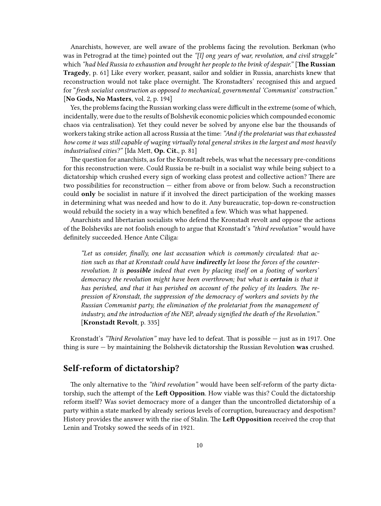Anarchists, however, are well aware of the problems facing the revolution. Berkman (who was in Petrograd at the time) pointed out the *"[l] ong years of war, revolution, and civil struggle"* which *"had bled Russia to exhaustion and brought her people to the brink of despair."* [**The Russian Tragedy**, p. 61] Like every worker, peasant, sailor and soldier in Russia, anarchists knew that reconstruction would not take place overnight. The Kronstadters' recognised this and argued for "*fresh socialist construction as opposed to mechanical, governmental 'Communist' construction."* [**No Gods, No Masters**, vol. 2, p. 194]

Yes, the problems facing the Russian working class were difficult in the extreme (some of which, incidentally, were due to the results of Bolshevik economic policies which compounded economic chaos via centralisation). Yet they could never be solved by anyone else bar the thousands of workers taking strike action all across Russia at the time:*"And if the proletariat was that exhausted how come it was still capable of waging virtually total general strikes in the largest and most heavily industrialised cities?"* [Ida Mett, **Op. Cit.**, p. 81]

The question for anarchists, as for the Kronstadt rebels, was what the necessary pre-conditions for this reconstruction were. Could Russia be re-built in a socialist way while being subject to a dictatorship which crushed every sign of working class protest and collective action? There are two possibilities for reconstruction — either from above or from below. Such a reconstruction could **only** be socialist in nature if it involved the direct participation of the working masses in determining what was needed and how to do it. Any bureaucratic, top-down re-construction would rebuild the society in a way which benefited a few. Which was what happened.

Anarchists and libertarian socialists who defend the Kronstadt revolt and oppose the actions of the Bolsheviks are not foolish enough to argue that Kronstadt's *"third revolution"* would have definitely succeeded. Hence Ante Ciliga:

*"Let us consider, finally, one last accusation which is commonly circulated: that action such as that at Kronstadt could have indirectly let loose the forces of the counterrevolution. It is possible indeed that even by placing itself on a footing of workers' democracy the revolution might have been overthrown; but what is certain is that it has perished, and that it has perished on account of the policy of its leaders. The repression of Kronstadt, the suppression of the democracy of workers and soviets by the Russian Communist party, the elimination of the proletariat from the management of industry, and the introduction of the NEP, already signified the death of the Revolution."* [**Kronstadt Revolt**, p. 335]

Kronstadt's *"Third Revolution"* may have led to defeat. That is possible — just as in 1917. One thing is sure — by maintaining the Bolshevik dictatorship the Russian Revolution **was** crushed.

## <span id="page-9-0"></span>**Self-reform of dictatorship?**

The only alternative to the *"third revolution"* would have been self-reform of the party dictatorship, such the attempt of the **Left Opposition**. How viable was this? Could the dictatorship reform itself? Was soviet democracy more of a danger than the uncontrolled dictatorship of a party within a state marked by already serious levels of corruption, bureaucracy and despotism? History provides the answer with the rise of Stalin. The **Left Opposition** received the crop that Lenin and Trotsky sowed the seeds of in 1921.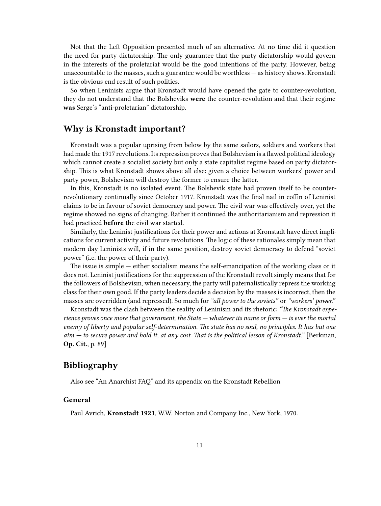Not that the Left Opposition presented much of an alternative. At no time did it question the need for party dictatorship. The only guarantee that the party dictatorship would govern in the interests of the proletariat would be the good intentions of the party. However, being unaccountable to the masses, such a guarantee would be worthless — as history shows. Kronstadt is the obvious end result of such politics.

So when Leninists argue that Kronstadt would have opened the gate to counter-revolution, they do not understand that the Bolsheviks **were** the counter-revolution and that their regime **was** Serge's "anti-proletarian" dictatorship.

#### <span id="page-10-0"></span>**Why is Kronstadt important?**

Kronstadt was a popular uprising from below by the same sailors, soldiers and workers that had made the 1917 revolutions. Its repression proves that Bolshevism is a flawed political ideology which cannot create a socialist society but only a state capitalist regime based on party dictatorship. This is what Kronstadt shows above all else: given a choice between workers' power and party power, Bolshevism will destroy the former to ensure the latter.

In this, Kronstadt is no isolated event. The Bolshevik state had proven itself to be counterrevolutionary continually since October 1917. Kronstadt was the final nail in coffin of Leninist claims to be in favour of soviet democracy and power. The civil war was effectively over, yet the regime showed no signs of changing. Rather it continued the authoritarianism and repression it had practiced **before** the civil war started.

Similarly, the Leninist justifications for their power and actions at Kronstadt have direct implications for current activity and future revolutions. The logic of these rationales simply mean that modern day Leninists will, if in the same position, destroy soviet democracy to defend "soviet power" (i.e. the power of their party).

The issue is simple  $-$  either socialism means the self-emancipation of the working class or it does not. Leninist justifications for the suppression of the Kronstadt revolt simply means that for the followers of Bolshevism, when necessary, the party will paternalistically repress the working class for their own good. If the party leaders decide a decision by the masses is incorrect, then the masses are overridden (and repressed). So much for *"all power to the soviets"* or *"workers' power."*

Kronstadt was the clash between the reality of Leninism and its rhetoric: *"The Kronstadt experience proves once more that government, the State — whatever its name or form — is ever the mortal enemy of liberty and popular self-determination. The state has no soul, no principles. It has but one aim — to secure power and hold it, at any cost. That is the political lesson of Kronstadt."* [Berkman, **Op. Cit.**, p. 89]

## <span id="page-10-1"></span>**Bibliography**

Also see "An Anarchist FAQ" and its appendix on the Kronstadt Rebellion

#### <span id="page-10-2"></span>**General**

Paul Avrich, **Kronstadt 1921**, W.W. Norton and Company Inc., New York, 1970.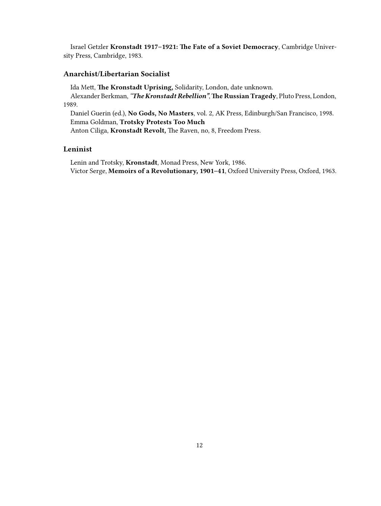Israel Getzler **Kronstadt 1917–1921: The Fate of a Soviet Democracy**, Cambridge University Press, Cambridge, 1983.

#### <span id="page-11-0"></span>**Anarchist/Libertarian Socialist**

Ida Mett, **The Kronstadt Uprising,** Solidarity, London, date unknown.

Alexander Berkman,*"The Kronstadt Rebellion"*,**The Russian Tragedy**, Pluto Press, London, 1989.

Daniel Guerin (ed.), **No Gods, No Masters**, vol. 2, AK Press, Edinburgh/San Francisco, 1998. Emma Goldman, **Trotsky Protests Too Much**

Anton Ciliga, **Kronstadt Revolt,** The Raven, no, 8, Freedom Press.

#### <span id="page-11-1"></span>**Leninist**

Lenin and Trotsky, **Kronstadt**, Monad Press, New York, 1986. Victor Serge, **Memoirs of a Revolutionary, 1901–41**, Oxford University Press, Oxford, 1963.